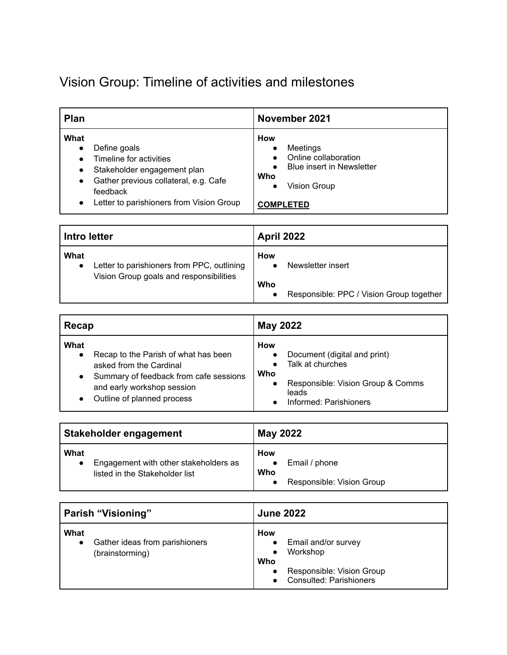## Vision Group: Timeline of activities and milestones

| <b>Plan</b>                                                                                                                                                                                                                         | November 2021                                                                                                                 |
|-------------------------------------------------------------------------------------------------------------------------------------------------------------------------------------------------------------------------------------|-------------------------------------------------------------------------------------------------------------------------------|
| What<br>Define goals<br>$\bullet$<br>Timeline for activities<br>Stakeholder engagement plan<br>$\bullet$<br>Gather previous collateral, e.g. Cafe<br>$\bullet$<br>feedback<br>Letter to parishioners from Vision Group<br>$\bullet$ | <b>How</b><br>Meetings<br>Online collaboration<br><b>Blue insert in Newsletter</b><br>Who<br>Vision Group<br><b>COMPLETED</b> |

| Intro letter |                                            | <b>April 2022</b> |                                          |
|--------------|--------------------------------------------|-------------------|------------------------------------------|
| What         | Letter to parishioners from PPC, outlining | How               | Newsletter insert                        |
|              | Vision Group goals and responsibilities    | Who               | Responsible: PPC / Vision Group together |

| Recap                                                                                                                                                                         | May 2022                                                                                                                                      |
|-------------------------------------------------------------------------------------------------------------------------------------------------------------------------------|-----------------------------------------------------------------------------------------------------------------------------------------------|
| What<br>Recap to the Parish of what has been<br>asked from the Cardinal<br>Summary of feedback from cafe sessions<br>and early workshop session<br>Outline of planned process | <b>How</b><br>Document (digital and print)<br>Talk at churches<br>Who<br>Responsible: Vision Group & Comms<br>leads<br>Informed: Parishioners |

| Stakeholder engagement                                                          | <b>May 2022</b>                                          |
|---------------------------------------------------------------------------------|----------------------------------------------------------|
| What<br>Engagement with other stakeholders as<br>listed in the Stakeholder list | How<br>Email / phone<br>Who<br>Responsible: Vision Group |

| Parish "Visioning"                                        | <b>June 2022</b>                                                                                             |
|-----------------------------------------------------------|--------------------------------------------------------------------------------------------------------------|
| What<br>Gather ideas from parishioners<br>(brainstorming) | How<br>Email and/or survey<br>Workshop<br>Who<br>Responsible: Vision Group<br><b>Consulted: Parishioners</b> |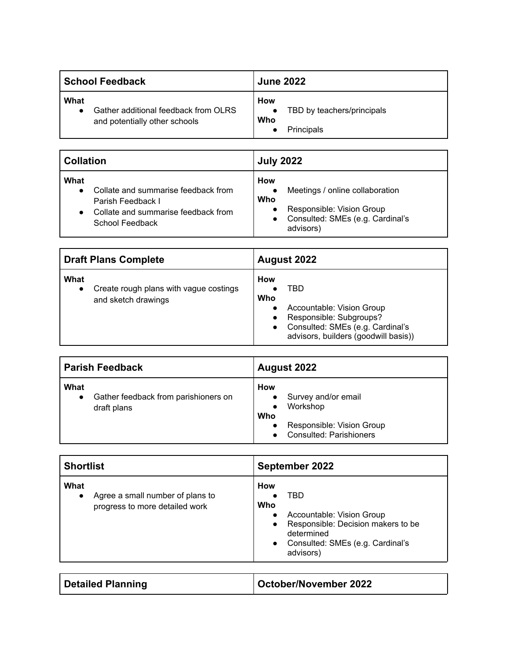| School Feedback                                                               | <b>June 2022</b>                                       |
|-------------------------------------------------------------------------------|--------------------------------------------------------|
| What<br>Gather additional feedback from OLRS<br>and potentially other schools | How<br>TBD by teachers/principals<br>Who<br>Principals |

| <b>Collation</b>                                                                                                           | <b>July 2022</b>                                                                                                                         |
|----------------------------------------------------------------------------------------------------------------------------|------------------------------------------------------------------------------------------------------------------------------------------|
| What<br>Collate and summarise feedback from<br>Parish Feedback I<br>Collate and summarise feedback from<br>School Feedback | How<br>Meetings / online collaboration<br>Who<br>Responsible: Vision Group<br>Consulted: SMEs (e.g. Cardinal's<br>$\bullet$<br>advisors) |

| <b>Draft Plans Complete</b>                                                        | August 2022                                                                                                                                                                            |
|------------------------------------------------------------------------------------|----------------------------------------------------------------------------------------------------------------------------------------------------------------------------------------|
| What<br>Create rough plans with vague costings<br>$\bullet$<br>and sketch drawings | <b>How</b><br>TBD<br>Who<br>Accountable: Vision Group<br>Responsible: Subgroups?<br>$\bullet$<br>Consulted: SMEs (e.g. Cardinal's<br>$\bullet$<br>advisors, builders (goodwill basis)) |

| <b>Parish Feedback</b>                                                   | August 2022                                                                                                                            |
|--------------------------------------------------------------------------|----------------------------------------------------------------------------------------------------------------------------------------|
| What<br>Gather feedback from parishioners on<br>$\bullet$<br>draft plans | How<br>Survey and/or email<br>$\bullet$<br>Workshop<br>Who<br>Responsible: Vision Group<br>$\bullet$<br><b>Consulted: Parishioners</b> |

| <b>Shortlist</b>                                                           | <b>September 2022</b>                                                                                                                                                                  |
|----------------------------------------------------------------------------|----------------------------------------------------------------------------------------------------------------------------------------------------------------------------------------|
| What<br>Agree a small number of plans to<br>progress to more detailed work | <b>How</b><br>TBD<br>Who<br>Accountable: Vision Group<br>$\bullet$<br>Responsible: Decision makers to be<br>$\bullet$<br>determined<br>• Consulted: SMEs (e.g. Cardinal's<br>advisors) |

| Detailed Planning | <b>October/November 2022</b> |
|-------------------|------------------------------|
|-------------------|------------------------------|